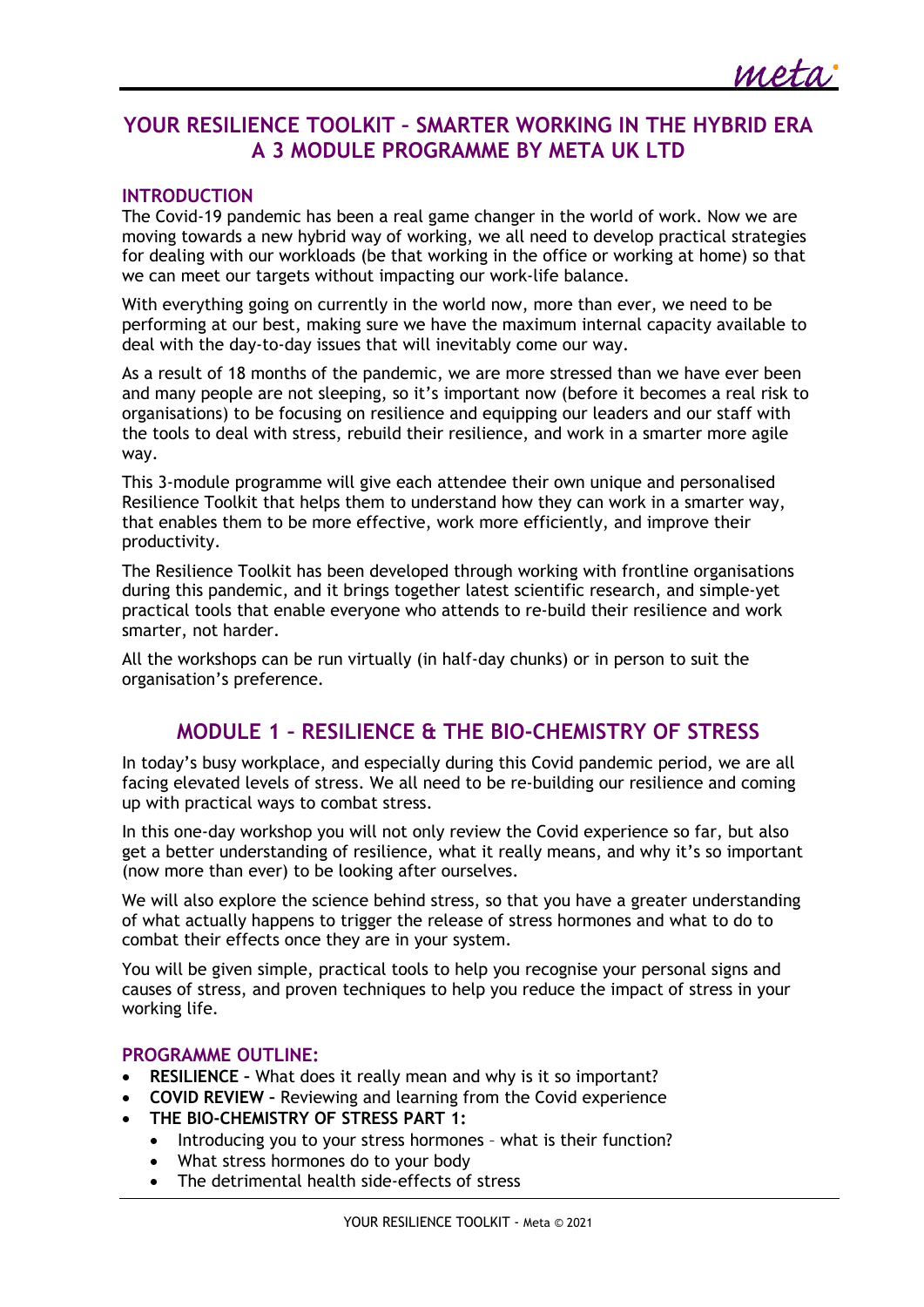# **YOUR RESILIENCE TOOLKIT – SMARTER WORKING IN THE HYBRID ERA A 3 MODULE PROGRAMME BY META UK LTD**

### **INTRODUCTION**

The Covid-19 pandemic has been a real game changer in the world of work. Now we are moving towards a new hybrid way of working, we all need to develop practical strategies for dealing with our workloads (be that working in the office or working at home) so that we can meet our targets without impacting our work-life balance.

With everything going on currently in the world now, more than ever, we need to be performing at our best, making sure we have the maximum internal capacity available to deal with the day-to-day issues that will inevitably come our way.

As a result of 18 months of the pandemic, we are more stressed than we have ever been and many people are not sleeping, so it's important now (before it becomes a real risk to organisations) to be focusing on resilience and equipping our leaders and our staff with the tools to deal with stress, rebuild their resilience, and work in a smarter more agile way.

This 3-module programme will give each attendee their own unique and personalised Resilience Toolkit that helps them to understand how they can work in a smarter way, that enables them to be more effective, work more efficiently, and improve their productivity.

The Resilience Toolkit has been developed through working with frontline organisations during this pandemic, and it brings together latest scientific research, and simple-yet practical tools that enable everyone who attends to re-build their resilience and work smarter, not harder.

All the workshops can be run virtually (in half-day chunks) or in person to suit the organisation's preference.

# **MODULE 1 – RESILIENCE & THE BIO-CHEMISTRY OF STRESS**

In today's busy workplace, and especially during this Covid pandemic period, we are all facing elevated levels of stress. We all need to be re-building our resilience and coming up with practical ways to combat stress.

In this one-day workshop you will not only review the Covid experience so far, but also get a better understanding of resilience, what it really means, and why it's so important (now more than ever) to be looking after ourselves.

We will also explore the science behind stress, so that you have a greater understanding of what actually happens to trigger the release of stress hormones and what to do to combat their effects once they are in your system.

You will be given simple, practical tools to help you recognise your personal signs and causes of stress, and proven techniques to help you reduce the impact of stress in your working life.

### **PROGRAMME OUTLINE:**

- **RESILIENCE –** What does it really mean and why is it so important?
- **COVID REVIEW –** Reviewing and learning from the Covid experience
- **THE BIO-CHEMISTRY OF STRESS PART 1:**
	- Introducing you to your stress hormones what is their function?
	- What stress hormones do to your body
	- The detrimental health side-effects of stress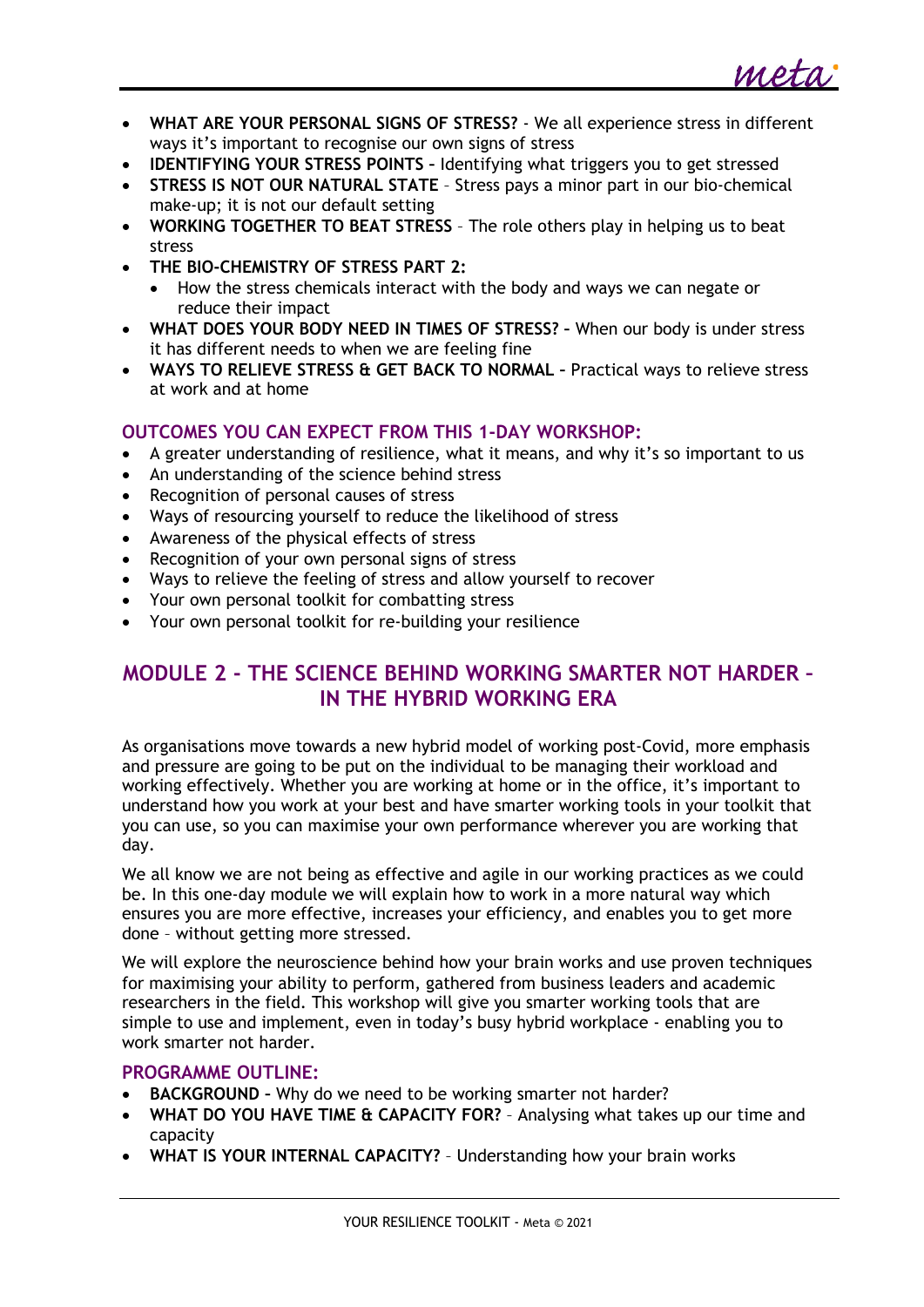

- **WHAT ARE YOUR PERSONAL SIGNS OF STRESS?**  We all experience stress in different ways it's important to recognise our own signs of stress
- **IDENTIFYING YOUR STRESS POINTS –** Identifying what triggers you to get stressed
- **STRESS IS NOT OUR NATURAL STATE** Stress pays a minor part in our bio-chemical make-up; it is not our default setting
- **WORKING TOGETHER TO BEAT STRESS**  The role others play in helping us to beat stress
- **THE BIO-CHEMISTRY OF STRESS PART 2:** 
	- How the stress chemicals interact with the body and ways we can negate or reduce their impact
- **WHAT DOES YOUR BODY NEED IN TIMES OF STRESS? –** When our body is under stress it has different needs to when we are feeling fine
- **WAYS TO RELIEVE STRESS & GET BACK TO NORMAL –** Practical ways to relieve stress at work and at home

# **OUTCOMES YOU CAN EXPECT FROM THIS 1-DAY WORKSHOP:**

- A greater understanding of resilience, what it means, and why it's so important to us
- An understanding of the science behind stress
- Recognition of personal causes of stress
- Ways of resourcing yourself to reduce the likelihood of stress
- Awareness of the physical effects of stress
- Recognition of your own personal signs of stress
- Ways to relieve the feeling of stress and allow yourself to recover
- Your own personal toolkit for combatting stress
- Your own personal toolkit for re-building your resilience

# **MODULE 2 - THE SCIENCE BEHIND WORKING SMARTER NOT HARDER – IN THE HYBRID WORKING ERA**

As organisations move towards a new hybrid model of working post-Covid, more emphasis and pressure are going to be put on the individual to be managing their workload and working effectively. Whether you are working at home or in the office, it's important to understand how you work at your best and have smarter working tools in your toolkit that you can use, so you can maximise your own performance wherever you are working that day.

We all know we are not being as effective and agile in our working practices as we could be. In this one-day module we will explain how to work in a more natural way which ensures you are more effective, increases your efficiency, and enables you to get more done – without getting more stressed.

We will explore the neuroscience behind how your brain works and use proven techniques for maximising your ability to perform, gathered from business leaders and academic researchers in the field. This workshop will give you smarter working tools that are simple to use and implement, even in today's busy hybrid workplace - enabling you to work smarter not harder.

### **PROGRAMME OUTLINE:**

- **BACKGROUND –** Why do we need to be working smarter not harder?
- **WHAT DO YOU HAVE TIME & CAPACITY FOR?** Analysing what takes up our time and capacity
- **WHAT IS YOUR INTERNAL CAPACITY?** Understanding how your brain works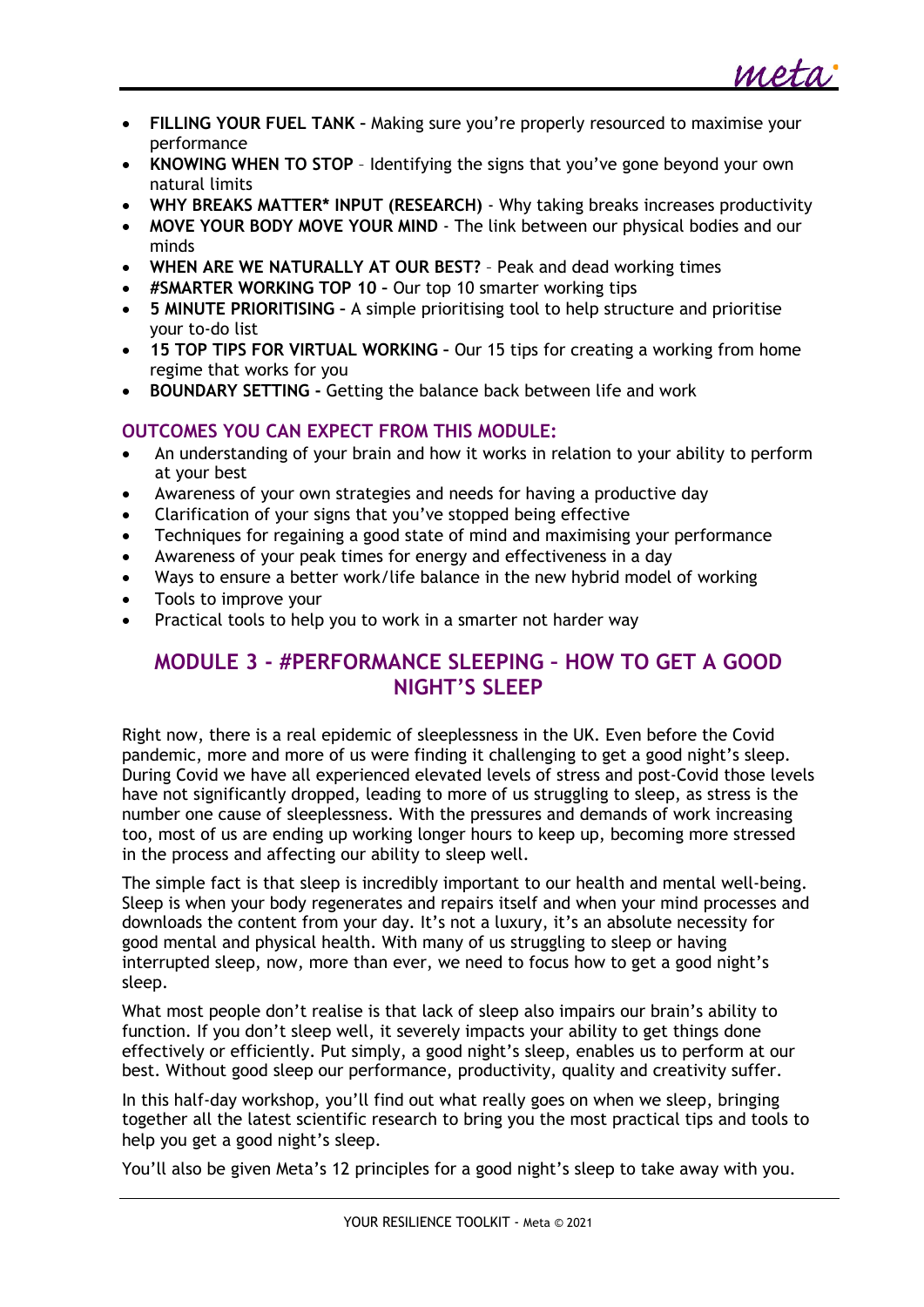

- **FILLING YOUR FUEL TANK –** Making sure you're properly resourced to maximise your performance
- **KNOWING WHEN TO STOP** Identifying the signs that you've gone beyond your own natural limits
- **WHY BREAKS MATTER\* INPUT (RESEARCH)** Why taking breaks increases productivity
- **MOVE YOUR BODY MOVE YOUR MIND** The link between our physical bodies and our minds
- **WHEN ARE WE NATURALLY AT OUR BEST?** Peak and dead working times
- **#SMARTER WORKING TOP 10 –** Our top 10 smarter working tips
- **5 MINUTE PRIORITISING –** A simple prioritising tool to help structure and prioritise your to-do list
- **15 TOP TIPS FOR VIRTUAL WORKING –** Our 15 tips for creating a working from home regime that works for you
- **BOUNDARY SETTING -** Getting the balance back between life and work

# **OUTCOMES YOU CAN EXPECT FROM THIS MODULE:**

- An understanding of your brain and how it works in relation to your ability to perform at your best
- Awareness of your own strategies and needs for having a productive day
- Clarification of your signs that you've stopped being effective
- Techniques for regaining a good state of mind and maximising your performance
- Awareness of your peak times for energy and effectiveness in a dav
- Ways to ensure a better work/life balance in the new hybrid model of working
- Tools to improve your
- Practical tools to help you to work in a smarter not harder way

# **MODULE 3 - #PERFORMANCE SLEEPING – HOW TO GET A GOOD NIGHT'S SLEEP**

Right now, there is a real epidemic of sleeplessness in the UK. Even before the Covid pandemic, more and more of us were finding it challenging to get a good night's sleep. During Covid we have all experienced elevated levels of stress and post-Covid those levels have not significantly dropped, leading to more of us struggling to sleep, as stress is the number one cause of sleeplessness. With the pressures and demands of work increasing too, most of us are ending up working longer hours to keep up, becoming more stressed in the process and affecting our ability to sleep well.

The simple fact is that sleep is incredibly important to our health and mental well-being. Sleep is when your body regenerates and repairs itself and when your mind processes and downloads the content from your day. It's not a luxury, it's an absolute necessity for good mental and physical health. With many of us struggling to sleep or having interrupted sleep, now, more than ever, we need to focus how to get a good night's sleep.

What most people don't realise is that lack of sleep also impairs our brain's ability to function. If you don't sleep well, it severely impacts your ability to get things done effectively or efficiently. Put simply, a good night's sleep, enables us to perform at our best. Without good sleep our performance, productivity, quality and creativity suffer.

In this half-day workshop, you'll find out what really goes on when we sleep, bringing together all the latest scientific research to bring you the most practical tips and tools to help you get a good night's sleep.

You'll also be given Meta's 12 principles for a good night's sleep to take away with you.